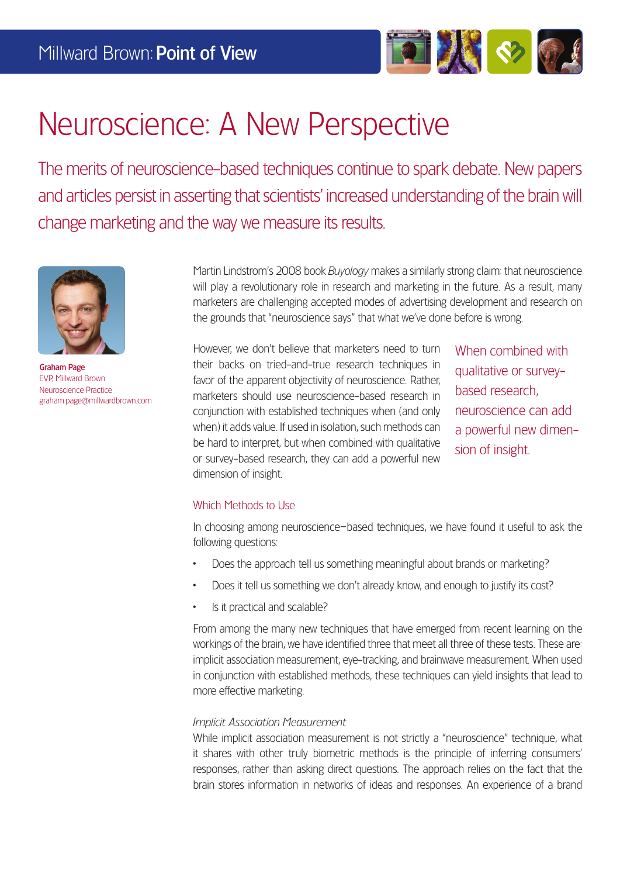

# Neuroscience: A New Perspective

The merits of neuroscience-based techniques continue to spark debate. New papers and articles persist in asserting that scientists' increased understanding of the brain will change marketing and the way we measure its results.



Graham Page EVP, Millward Brown Neuroscience Practice graham.page@millwardbrown.com

Martin Lindstrom's 2008 book *Buyology* makes a similarly strong claim: that neuroscience will play a revolutionary role in research and marketing in the future. As a result, many marketers are challenging accepted modes of advertising development and research on the grounds that "neuroscience says" that what we've done before is wrong.

However, we don't believe that marketers need to turn their backs on tried-and-true research techniques in favor of the apparent objectivity of neuroscience. Rather, marketers should use neuroscience-based research in conjunction with established techniques when (and only when) it adds value. If used in isolation, such methods can be hard to interpret, but when combined with qualitative or survey-based research, they can add a powerful new dimension of insight.

When combined with qualitative or surveybased research, neuroscience can add a powerful new dimension of insight.

#### Which Methods to Use

In choosing among neuroscience–based techniques, we have found it useful to ask the following questions:

- Does the approach tell us something meaningful about brands or marketing?
- Does it tell us something we don't already know, and enough to justify its cost?
- Is it practical and scalable?

From among the many new techniques that have emerged from recent learning on the workings of the brain, we have identified three that meet all three of these tests. These are: implicit association measurement, eye-tracking, and brainwave measurement. When used in conjunction with established methods, these techniques can yield insights that lead to more effective marketing.

#### *Implicit Association Measurement*

While implicit association measurement is not strictly a "neuroscience" technique, what it shares with other truly biometric methods is the principle of inferring consumers' responses, rather than asking direct questions. The approach relies on the fact that the brain stores information in networks of ideas and responses. An experience of a brand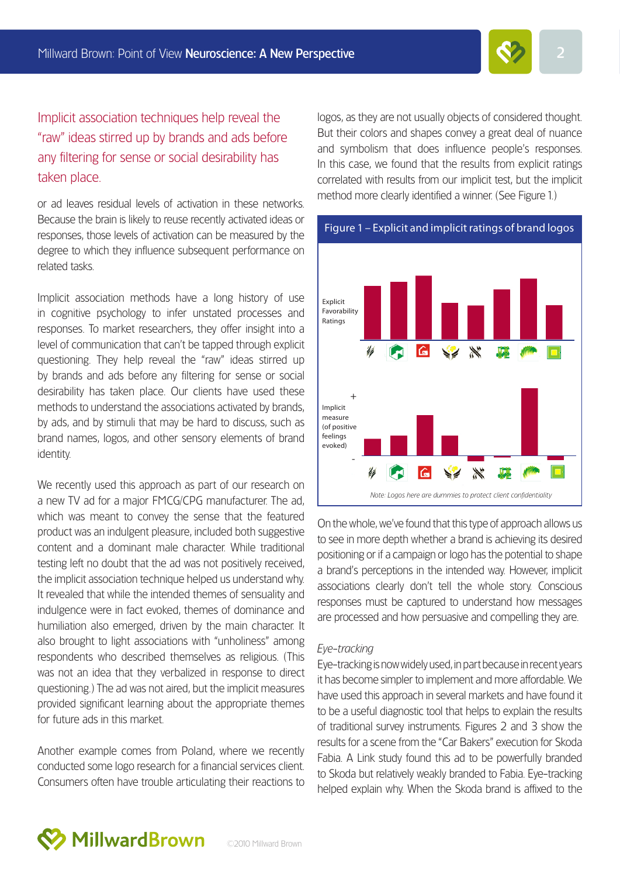

Implicit association techniques help reveal the "raw" ideas stirred up by brands and ads before any filtering for sense or social desirability has taken place.

or ad leaves residual levels of activation in these networks. Because the brain is likely to reuse recently activated ideas or responses, those levels of activation can be measured by the degree to which they influence subsequent performance on related tasks.

Implicit association methods have a long history of use in cognitive psychology to infer unstated processes and responses. To market researchers, they offer insight into a level of communication that can't be tapped through explicit questioning. They help reveal the "raw" ideas stirred up by brands and ads before any filtering for sense or social desirability has taken place. Our clients have used these methods to understand the associations activated by brands, by ads, and by stimuli that may be hard to discuss, such as brand names, logos, and other sensory elements of brand identity.

We recently used this approach as part of our research on a new TV ad for a major FMCG/CPG manufacturer. The ad, which was meant to convey the sense that the featured product was an indulgent pleasure, included both suggestive content and a dominant male character. While traditional testing left no doubt that the ad was not positively received, the implicit association technique helped us understand why. It revealed that while the intended themes of sensuality and indulgence were in fact evoked, themes of dominance and humiliation also emerged, driven by the main character. It also brought to light associations with "unholiness" among respondents who described themselves as religious. (This was not an idea that they verbalized in response to direct questioning.) The ad was not aired, but the implicit measures provided significant learning about the appropriate themes for future ads in this market.

Another example comes from Poland, where we recently conducted some logo research for a financial services client. Consumers often have trouble articulating their reactions to

logos, as they are not usually objects of considered thought. But their colors and shapes convey a great deal of nuance and symbolism that does influence people's responses. In this case, we found that the results from explicit ratings correlated with results from our implicit test, but the implicit method more clearly identified a winner. (See Figure 1.)



On the whole, we've found that this type of approach allows us to see in more depth whether a brand is achieving its desired positioning or if a campaign or logo has the potential to shape a brand's perceptions in the intended way. However, implicit associations clearly don't tell the whole story. Conscious responses must be captured to understand how messages are processed and how persuasive and compelling they are.

#### *Eye-tracking*

Eye-tracking is now widely used, in part because in recent years it has become simpler to implement and more affordable. We have used this approach in several markets and have found it to be a useful diagnostic tool that helps to explain the results of traditional survey instruments. Figures 2 and 3 show the results for a scene from the "Car Bakers" execution for Skoda Fabia. A Link study found this ad to be powerfully branded to Skoda but relatively weakly branded to Fabia. Eye-tracking helped explain why. When the Skoda brand is affixed to the

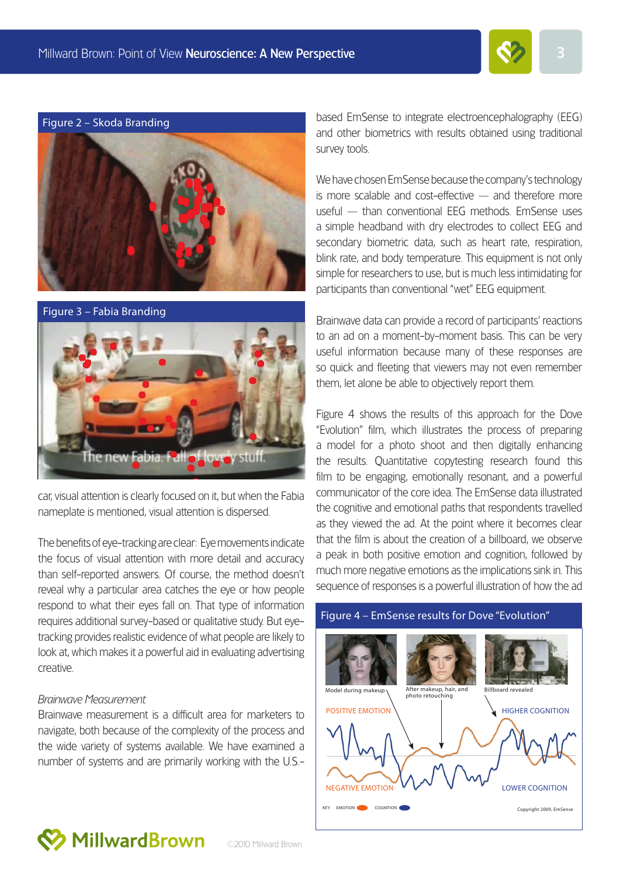





car, visual attention is clearly focused on it, but when the Fabia nameplate is mentioned, visual attention is dispersed.

The benefits of eye-tracking are clear: Eye movements indicate the focus of visual attention with more detail and accuracy than self-reported answers. Of course, the method doesn't reveal why a particular area catches the eye or how people respond to what their eyes fall on. That type of information requires additional survey-based or qualitative study. But eyetracking provides realistic evidence of what people are likely to look at, which makes it a powerful aid in evaluating advertising creative.

#### *Brainwave Measurement*

Brainwave measurement is a difficult area for marketers to navigate, both because of the complexity of the process and the wide variety of systems available. We have examined a number of systems and are primarily working with the U.S.- based EmSense to integrate electroencephalography (EEG) and other biometrics with results obtained using traditional survey tools.

We have chosen EmSense because the company's technology is more scalable and cost-effective  $-$  and therefore more useful — than conventional EEG methods. EmSense uses a simple headband with dry electrodes to collect EEG and secondary biometric data, such as heart rate, respiration, blink rate, and body temperature. This equipment is not only simple for researchers to use, but is much less intimidating for participants than conventional "wet" EEG equipment.

Brainwave data can provide a record of participants' reactions to an ad on a moment-by-moment basis. This can be very useful information because many of these responses are so quick and fleeting that viewers may not even remember them, let alone be able to objectively report them.

Figure 4 shows the results of this approach for the Dove "Evolution" film, which illustrates the process of preparing a model for a photo shoot and then digitally enhancing the results. Quantitative copytesting research found this film to be engaging, emotionally resonant, and a powerful communicator of the core idea. The EmSense data illustrated the cognitive and emotional paths that respondents travelled as they viewed the ad. At the point where it becomes clear that the film is about the creation of a billboard, we observe a peak in both positive emotion and cognition, followed by much more negative emotions as the implications sink in. This sequence of responses is a powerful illustration of how the ad





**MillwardBrown** 

©2010 Millward Brown